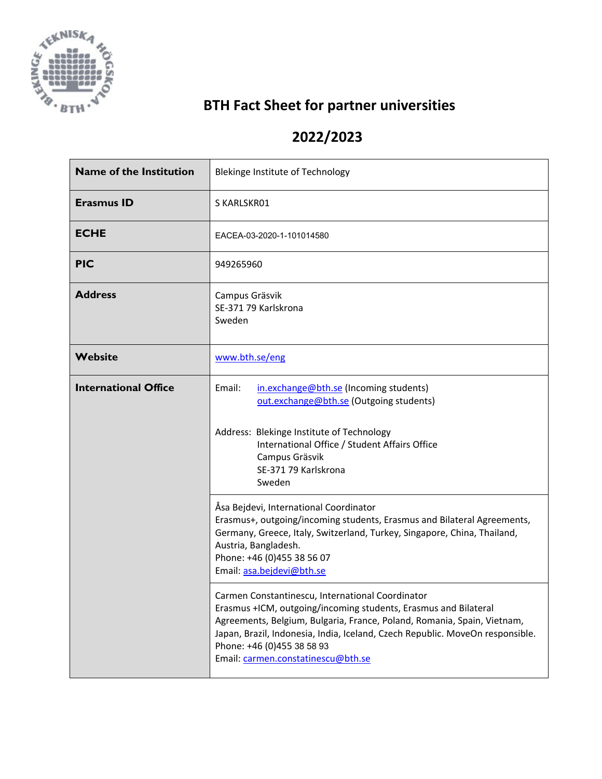

## **BTH Fact Sheet for partner universities**

## **2022/2023**

| <b>Name of the Institution</b> | Blekinge Institute of Technology                                                                                                                                                                                                                                                                                                                    |
|--------------------------------|-----------------------------------------------------------------------------------------------------------------------------------------------------------------------------------------------------------------------------------------------------------------------------------------------------------------------------------------------------|
| <b>Erasmus ID</b>              | S KARLSKR01                                                                                                                                                                                                                                                                                                                                         |
| <b>ECHE</b>                    | EACEA-03-2020-1-101014580                                                                                                                                                                                                                                                                                                                           |
| <b>PIC</b>                     | 949265960                                                                                                                                                                                                                                                                                                                                           |
| <b>Address</b>                 | Campus Gräsvik<br>SE-371 79 Karlskrona<br>Sweden                                                                                                                                                                                                                                                                                                    |
| Website                        | www.bth.se/eng                                                                                                                                                                                                                                                                                                                                      |
| <b>International Office</b>    | Email:<br>in.exchange@bth.se (Incoming students)<br>out.exchange@bth.se (Outgoing students)<br>Address: Blekinge Institute of Technology<br>International Office / Student Affairs Office<br>Campus Gräsvik<br>SE-371 79 Karlskrona<br>Sweden                                                                                                       |
|                                | Åsa Bejdevi, International Coordinator<br>Erasmus+, outgoing/incoming students, Erasmus and Bilateral Agreements,<br>Germany, Greece, Italy, Switzerland, Turkey, Singapore, China, Thailand,<br>Austria, Bangladesh.<br>Phone: +46 (0)455 38 56 07<br>Email: asa.bejdevi@bth.se                                                                    |
|                                | Carmen Constantinescu, International Coordinator<br>Erasmus +ICM, outgoing/incoming students, Erasmus and Bilateral<br>Agreements, Belgium, Bulgaria, France, Poland, Romania, Spain, Vietnam,<br>Japan, Brazil, Indonesia, India, Iceland, Czech Republic. MoveOn responsible.<br>Phone: +46 (0)455 38 58 93<br>Email: carmen.constatinescu@bth.se |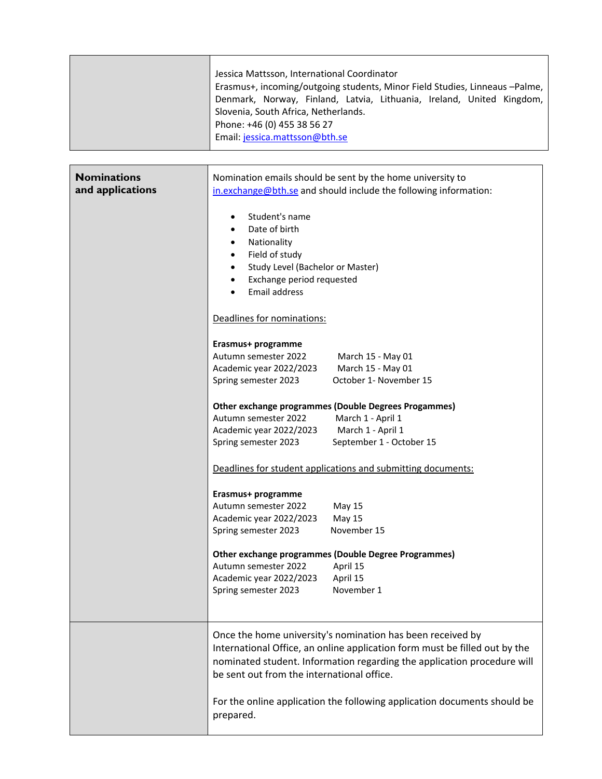| Jessica Mattsson, International Coordinator<br>Erasmus+, incoming/outgoing students, Minor Field Studies, Linneaus -Palme,<br>Denmark, Norway, Finland, Latvia, Lithuania, Ireland, United Kingdom,<br>Slovenia, South Africa, Netherlands.<br>Phone: +46 (0) 455 38 56 27<br>Email: jessica.mattsson@bth.se |
|--------------------------------------------------------------------------------------------------------------------------------------------------------------------------------------------------------------------------------------------------------------------------------------------------------------|
|                                                                                                                                                                                                                                                                                                              |

| <b>Nominations</b><br>and applications | Nomination emails should be sent by the home university to<br>in.exchange@bth.se and should include the following information:                                                                                                                                               |
|----------------------------------------|------------------------------------------------------------------------------------------------------------------------------------------------------------------------------------------------------------------------------------------------------------------------------|
|                                        | Student's name<br>٠<br>Date of birth<br>$\bullet$<br>Nationality<br>$\bullet$<br>Field of study<br>$\bullet$<br>Study Level (Bachelor or Master)<br>Exchange period requested<br>Email address<br>Deadlines for nominations:                                                 |
|                                        | Erasmus+ programme<br>Autumn semester 2022<br>March 15 - May 01<br>March 15 - May 01<br>Academic year 2022/2023                                                                                                                                                              |
|                                        | October 1- November 15<br>Spring semester 2023                                                                                                                                                                                                                               |
|                                        | <b>Other exchange programmes (Double Degrees Progammes)</b><br>Autumn semester 2022<br>March 1 - April 1<br>Academic year 2022/2023<br>March 1 - April 1<br>September 1 - October 15<br>Spring semester 2023<br>Deadlines for student applications and submitting documents: |
|                                        | Erasmus+ programme<br>Autumn semester 2022<br>May 15<br><b>May 15</b><br>Academic year 2022/2023<br>November 15<br>Spring semester 2023                                                                                                                                      |
|                                        | <b>Other exchange programmes (Double Degree Programmes)</b><br>Autumn semester 2022<br>April 15<br>April 15<br>Academic year 2022/2023<br>November 1<br>Spring semester 2023                                                                                                 |
|                                        | Once the home university's nomination has been received by<br>International Office, an online application form must be filled out by the<br>nominated student. Information regarding the application procedure will<br>be sent out from the international office.            |
|                                        | For the online application the following application documents should be<br>prepared.                                                                                                                                                                                        |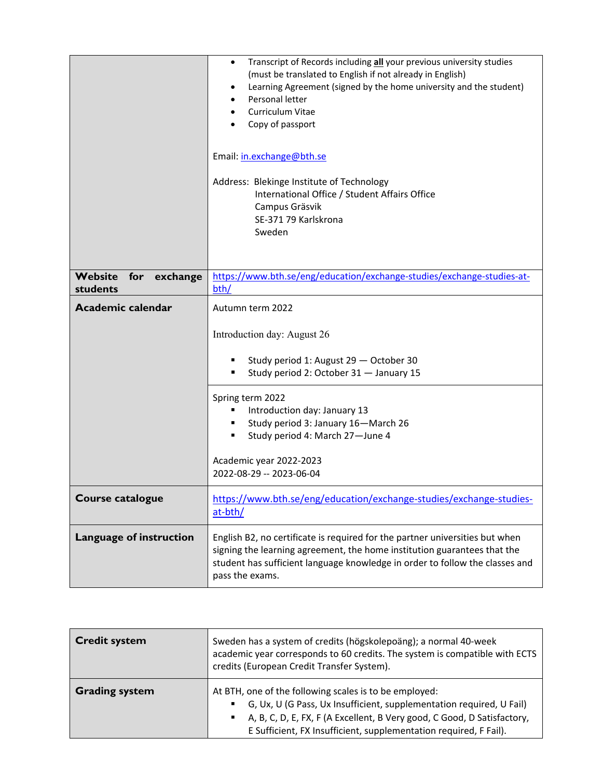|                                        | Transcript of Records including all your previous university studies<br>$\bullet$<br>(must be translated to English if not already in English)<br>Learning Agreement (signed by the home university and the student)<br>Personal letter<br>Curriculum Vitae<br>Copy of passport<br>Email: in.exchange@bth.se<br>Address: Blekinge Institute of Technology<br>International Office / Student Affairs Office<br>Campus Gräsvik<br>SE-371 79 Karlskrona<br>Sweden |
|----------------------------------------|----------------------------------------------------------------------------------------------------------------------------------------------------------------------------------------------------------------------------------------------------------------------------------------------------------------------------------------------------------------------------------------------------------------------------------------------------------------|
| Website<br>for<br>exchange<br>students | https://www.bth.se/eng/education/exchange-studies/exchange-studies-at-<br>bth/                                                                                                                                                                                                                                                                                                                                                                                 |
| <b>Academic calendar</b>               | Autumn term 2022                                                                                                                                                                                                                                                                                                                                                                                                                                               |
|                                        | Introduction day: August 26                                                                                                                                                                                                                                                                                                                                                                                                                                    |
|                                        | Study period 1: August 29 - October 30<br>Study period 2: October 31 - January 15<br>٠                                                                                                                                                                                                                                                                                                                                                                         |
|                                        | Spring term 2022<br>Introduction day: January 13<br>Study period 3: January 16-March 26<br>٠<br>Study period 4: March 27-June 4<br>Academic year 2022-2023                                                                                                                                                                                                                                                                                                     |
|                                        | 2022-08-29 -- 2023-06-04                                                                                                                                                                                                                                                                                                                                                                                                                                       |
| Course catalogue                       | https://www.bth.se/eng/education/exchange-studies/exchange-studies-<br>at-bth/                                                                                                                                                                                                                                                                                                                                                                                 |
| Language of instruction                | English B2, no certificate is required for the partner universities but when<br>signing the learning agreement, the home institution guarantees that the<br>student has sufficient language knowledge in order to follow the classes and<br>pass the exams.                                                                                                                                                                                                    |

| <b>Credit system</b>  | Sweden has a system of credits (högskolepoäng); a normal 40-week<br>academic year corresponds to 60 credits. The system is compatible with ECTS<br>credits (European Credit Transfer System).                                                                                                  |
|-----------------------|------------------------------------------------------------------------------------------------------------------------------------------------------------------------------------------------------------------------------------------------------------------------------------------------|
| <b>Grading system</b> | At BTH, one of the following scales is to be employed:<br>G, Ux, U (G Pass, Ux Insufficient, supplementation required, U Fail)<br>A, B, C, D, E, FX, F (A Excellent, B Very good, C Good, D Satisfactory,<br>$\mathbf{r}$<br>E Sufficient, FX Insufficient, supplementation required, F Fail). |

**F**